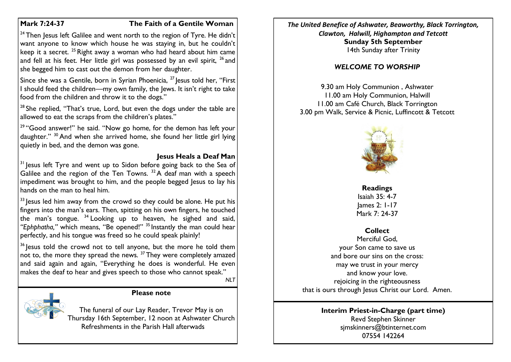#### **Mark 7:24-37 The Faith of a Gentile Woman**

<sup>24</sup> Then Jesus left Galilee and went north to the region of Tyre. He didn't want anyone to know which house he was staying in, but he couldn't keep it a secret. <sup>25</sup> Right away a woman who had heard about him came and fell at his feet. Her little girl was possessed by an evil spirit,  $^{26}$  and she begged him to cast out the demon from her daughter.

Since she was a Gentile, born in Syrian Phoenicia, <sup>27</sup> lesus told her, "First I should feed the children—my own family, the Jews. It isn't right to take food from the children and throw it to the dogs."

 $28$  She replied, "That's true, Lord, but even the dogs under the table are allowed to eat the scraps from the children's plates."

<sup>29</sup> "Good answer!" he said. "Now go home, for the demon has left your daughter." <sup>30</sup> And when she arrived home, she found her little girl lying quietly in bed, and the demon was gone.

# **Jesus Heals a Deaf Man**

 $31$  Jesus left Tyre and went up to Sidon before going back to the Sea of Galilee and the region of the Ten Towns.  $32A$  deaf man with a speech impediment was brought to him, and the people begged Jesus to lay his hands on the man to heal him.

 $33$  lesus led him away from the crowd so they could be alone. He put his fingers into the man's ears. Then, spitting on his own fingers, he touched the man's tongue. <sup>34</sup> Looking up to heaven, he sighed and said, *"Ephphatha,"* which means, "Be opened!" <sup>35</sup> Instantly the man could hear perfectly, and his tongue was freed so he could speak plainly!

<sup>36</sup> Jesus told the crowd not to tell anyone, but the more he told them not to, the more they spread the news.  $37$  They were completely amazed and said again and again, "Everything he does is wonderful. He even makes the deaf to hear and gives speech to those who cannot speak."

*NLT*

#### **Please note**

The funeral of our Lay Reader, Trevor May is on Thursday 16th September, 12 noon at Ashwater Church Refreshments in the Parish Hall afterwads

*The United Benefice of Ashwater, Beaworthy, Black Torrington, Clawton, Halwill, Highampton and Tetcott* **Sunday 5th September** 14th Sunday after Trinity

# *WELCOME TO WORSHIP*

9.30 am Holy Communion , Ashwater 11.00 am Holy Communion, Halwill 11.00 am Café Church, Black Torrington 3.00 pm Walk, Service & Picnic, Luffincott & Tetcott



## **Readings** Isaiah 35: 4-7 James 2: 1-17 Mark 7: 24-37

# **Collect**

Merciful God, your Son came to save us and bore our sins on the cross: may we trust in your mercy and know your love. rejoicing in the righteousness that is ours through Jesus Christ our Lord. Amen.

#### **Interim Priest-in-Charge (part time)** Revd Stephen Skinner [sjmskinners@btinternet.com](mailto:sjmskinners@btinternet.com) 07554 142264